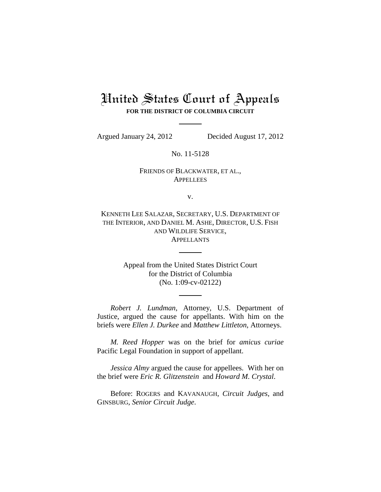## United States Court of Appeals **FOR THE DISTRICT OF COLUMBIA CIRCUIT**

Argued January 24, 2012 Decided August 17, 2012

No. 11-5128

## FRIENDS OF BLACKWATER, ET AL., **APPELLEES**

v.

KENNETH LEE SALAZAR, SECRETARY, U.S. DEPARTMENT OF THE INTERIOR, AND DANIEL M. ASHE, DIRECTOR, U.S. FISH AND WILDLIFE SERVICE, APPELLANTS

> Appeal from the United States District Court for the District of Columbia (No. 1:09-cv-02122)

*Robert J. Lundman*, Attorney, U.S. Department of Justice, argued the cause for appellants. With him on the briefs were *Ellen J. Durkee* and *Matthew Littleton*, Attorneys.

*M. Reed Hopper* was on the brief for *amicus curiae*  Pacific Legal Foundation in support of appellant.

*Jessica Almy* argued the cause for appellees. With her on the brief were *Eric R. Glitzenstein* and *Howard M. Crystal*.

Before: ROGERS and KAVANAUGH, *Circuit Judges*, and GINSBURG, *Senior Circuit Judge*.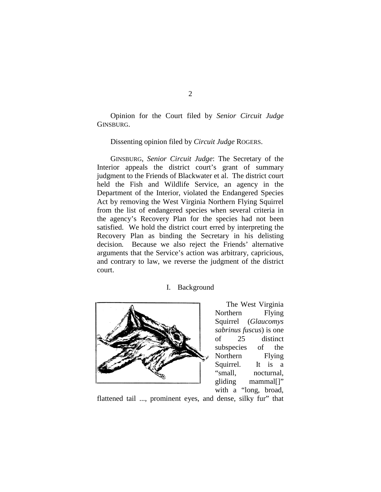Opinion for the Court filed by *Senior Circuit Judge*  GINSBURG.

Dissenting opinion filed by *Circuit Judge* ROGERS.

GINSBURG, *Senior Circuit Judge*: The Secretary of the Interior appeals the district court's grant of summary judgment to the Friends of Blackwater et al. The district court held the Fish and Wildlife Service, an agency in the Department of the Interior, violated the Endangered Species Act by removing the West Virginia Northern Flying Squirrel from the list of endangered species when several criteria in the agency's Recovery Plan for the species had not been satisfied. We hold the district court erred by interpreting the Recovery Plan as binding the Secretary in his delisting decision*.* Because we also reject the Friends' alternative arguments that the Service's action was arbitrary, capricious, and contrary to law, we reverse the judgment of the district court.

### I. Background



The West Virginia Northern Flying Squirrel (*Glaucomys sabrinus fuscus*) is one of 25 distinct subspecies of the Northern Flying Squirrel. It is a "small, nocturnal, gliding mammal[]" with a "long, broad,

flattened tail ..., prominent eyes, and dense, silky fur" that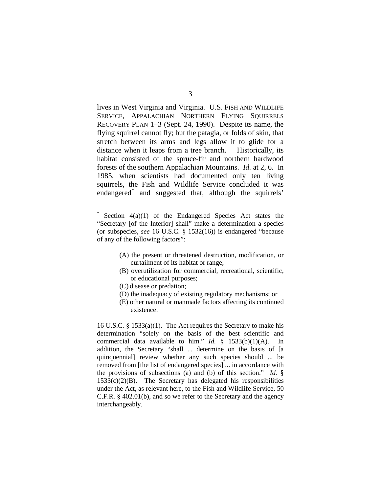lives in West Virginia and Virginia. U.S. FISH AND WILDLIFE SERVICE, APPALACHIAN NORTHERN FLYING SQUIRRELS RECOVERY PLAN 1–3 (Sept. 24, 1990). Despite its name, the flying squirrel cannot fly; but the patagia, or folds of skin, that stretch between its arms and legs allow it to glide for a distance when it leaps from a tree branch. Historically, its habitat consisted of the spruce-fir and northern hardwood forests of the southern Appalachian Mountains. *Id.* at 2, 6. In 1985, when scientists had documented only ten living squirrels, the Fish and Wildlife Service concluded it was endangered[\\*](#page-2-0) and suggested that, although the squirrels'

- (A) the present or threatened destruction, modification, or curtailment of its habitat or range;
- (B) overutilization for commercial, recreational, scientific, or educational purposes;
- (C) disease or predation;
- (D) the inadequacy of existing regulatory mechanisms; or
- (E) other natural or manmade factors affecting its continued existence.

16 U.S.C. § 1533(a)(1). The Act requires the Secretary to make his determination "solely on the basis of the best scientific and commercial data available to him." *Id.* § 1533(b)(1)(A). In addition, the Secretary "shall ... determine on the basis of [a quinquennial] review whether any such species should ... be removed from [the list of endangered species] ... in accordance with the provisions of subsections (a) and (b) of this section." *Id.* §  $1533(c)(2)(B)$ . The Secretary has delegated his responsibilities under the Act, as relevant here, to the Fish and Wildlife Service, 50 C.F.R. § 402.01(b), and so we refer to the Secretary and the agency interchangeably.

<span id="page-2-0"></span>Section  $4(a)(1)$  of the Endangered Species Act states the "Secretary [of the Interior] shall" make a determination a species (or subspecies, *see* 16 U.S.C. § 1532(16)) is endangered "because of any of the following factors":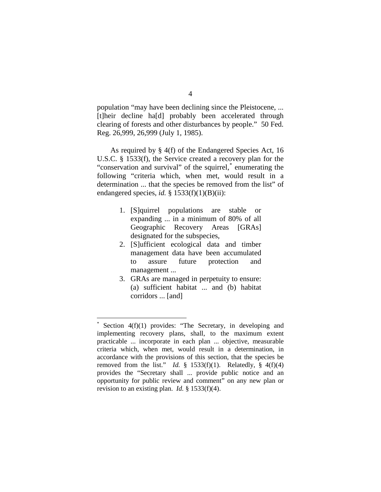population "may have been declining since the Pleistocene, ... [t]heir decline ha[d] probably been accelerated through clearing of forests and other disturbances by people." 50 Fed. Reg. 26,999, 26,999 (July 1, 1985).

As required by § 4(f) of the Endangered Species Act, 16 U.S.C. § 1533(f), the Service created a recovery plan for the "conservation and survival" of the squirrel,<sup>[\\*](#page-3-0)</sup> enumerating the following "criteria which, when met, would result in a determination ... that the species be removed from the list" of endangered species, *id.* § 1533(f)(1)(B)(ii):

- 1. [S]quirrel populations are stable or expanding ... in a minimum of 80% of all Geographic Recovery Areas [GRAs] designated for the subspecies,
- 2. [S]ufficient ecological data and timber management data have been accumulated to assure future protection and management ...
- 3. GRAs are managed in perpetuity to ensure: (a) sufficient habitat ... and (b) habitat corridors ... [and]

<span id="page-3-0"></span>Section  $4(f)(1)$  provides: "The Secretary, in developing and implementing recovery plans, shall, to the maximum extent practicable ... incorporate in each plan ... objective, measurable criteria which, when met, would result in a determination, in accordance with the provisions of this section, that the species be removed from the list." *Id.*  $\S$  1533(f)(1). Relatedly,  $\S$  4(f)(4) provides the "Secretary shall ... provide public notice and an opportunity for public review and comment" on any new plan or revision to an existing plan. *Id.* § 1533(f)(4).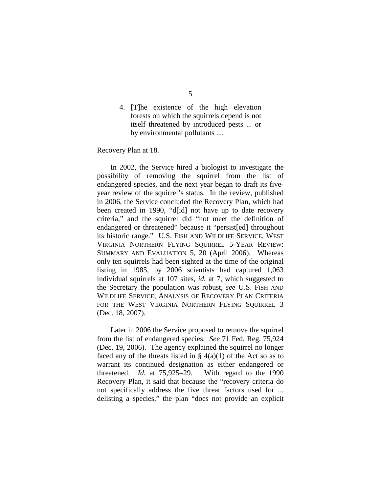4. [T]he existence of the high elevation forests on which the squirrels depend is not itself threatened by introduced pests ... or by environmental pollutants ....

Recovery Plan at 18.

In 2002, the Service hired a biologist to investigate the possibility of removing the squirrel from the list of endangered species, and the next year began to draft its fiveyear review of the squirrel's status. In the review, published in 2006, the Service concluded the Recovery Plan, which had been created in 1990, "d[id] not have up to date recovery criteria," and the squirrel did "not meet the definition of endangered or threatened" because it "persist[ed] throughout its historic range." U.S. FISH AND WILDLIFE SERVICE, WEST VIRGINIA NORTHERN FLYING SQUIRREL 5-YEAR REVIEW: SUMMARY AND EVALUATION 5, 20 (April 2006). Whereas only ten squirrels had been sighted at the time of the original listing in 1985, by 2006 scientists had captured 1,063 individual squirrels at 107 sites, *id.* at 7, which suggested to the Secretary the population was robust, *see* U.S. FISH AND WILDLIFE SERVICE, ANALYSIS OF RECOVERY PLAN CRITERIA FOR THE WEST VIRGINIA NORTHERN FLYING SQUIRREL 3 (Dec. 18, 2007).

Later in 2006 the Service proposed to remove the squirrel from the list of endangered species. *See* 71 Fed. Reg. 75,924 (Dec. 19, 2006). The agency explained the squirrel no longer faced any of the threats listed in  $\S$  4(a)(1) of the Act so as to warrant its continued designation as either endangered or threatened. *Id.* at 75,925–29. With regard to the 1990 Recovery Plan, it said that because the "recovery criteria do not specifically address the five threat factors used for ... delisting a species," the plan "does not provide an explicit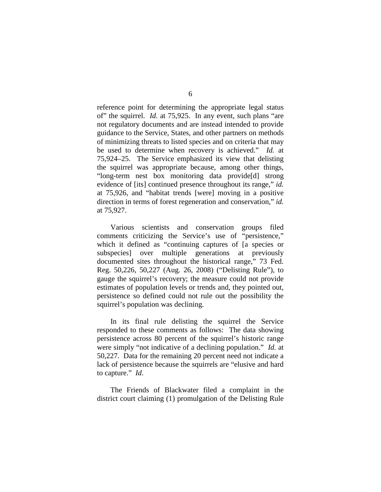reference point for determining the appropriate legal status of" the squirrel. *Id.* at 75,925. In any event, such plans "are not regulatory documents and are instead intended to provide guidance to the Service, States, and other partners on methods of minimizing threats to listed species and on criteria that may be used to determine when recovery is achieved." *Id.* at 75,924–25. The Service emphasized its view that delisting the squirrel was appropriate because, among other things, "long-term nest box monitoring data provide[d] strong evidence of [its] continued presence throughout its range," *id.*  at 75,926, and "habitat trends [were] moving in a positive direction in terms of forest regeneration and conservation," *id.* at 75,927.

Various scientists and conservation groups filed comments criticizing the Service's use of "persistence," which it defined as "continuing captures of [a species or subspecies] over multiple generations at previously documented sites throughout the historical range," 73 Fed. Reg. 50,226, 50,227 (Aug. 26, 2008) ("Delisting Rule"), to gauge the squirrel's recovery; the measure could not provide estimates of population levels or trends and, they pointed out, persistence so defined could not rule out the possibility the squirrel's population was declining.

In its final rule delisting the squirrel the Service responded to these comments as follows: The data showing persistence across 80 percent of the squirrel's historic range were simply "not indicative of a declining population." *Id.* at 50,227. Data for the remaining 20 percent need not indicate a lack of persistence because the squirrels are "elusive and hard to capture." *Id*.

The Friends of Blackwater filed a complaint in the district court claiming (1) promulgation of the Delisting Rule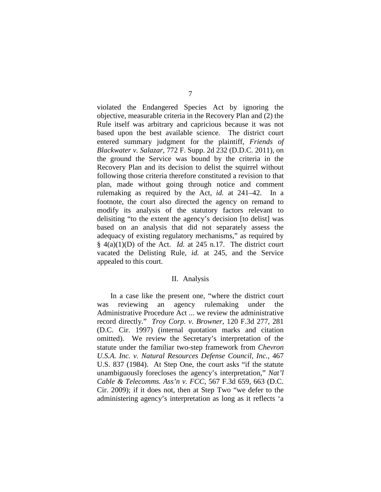violated the Endangered Species Act by ignoring the objective, measurable criteria in the Recovery Plan and (2) the Rule itself was arbitrary and capricious because it was not based upon the best available science. The district court entered summary judgment for the plaintiff, *Friends of Blackwater v. Salazar*, 772 F. Supp. 2d 232 (D.D.C. 2011), on the ground the Service was bound by the criteria in the Recovery Plan and its decision to delist the squirrel without following those criteria therefore constituted a revision to that plan, made without going through notice and comment rulemaking as required by the Act, *id.* at 241–42. In a footnote, the court also directed the agency on remand to modify its analysis of the statutory factors relevant to delisiting "to the extent the agency's decision [to delist] was based on an analysis that did not separately assess the adequacy of existing regulatory mechanisms," as required by  $§$  4(a)(1)(D) of the Act. *Id.* at 245 n.17. The district court vacated the Delisting Rule, *id.* at 245, and the Service appealed to this court.

#### II. Analysis

In a case like the present one, "where the district court was reviewing an agency rulemaking under the Administrative Procedure Act ... we review the administrative record directly." *Troy Corp. v. Browner*, 120 F.3d 277, 281 (D.C. Cir. 1997) (internal quotation marks and citation omitted). We review the Secretary's interpretation of the statute under the familiar two-step framework from *Chevron U.S.A. Inc. v. Natural Resources Defense Council, Inc.*, 467 U.S. 837 (1984). At Step One, the court asks "if the statute unambiguously forecloses the agency's interpretation," *Nat'l Cable & Telecomms. Ass'n v. FCC*, 567 F.3d 659, 663 (D.C. Cir. 2009); if it does not, then at Step Two "we defer to the administering agency's interpretation as long as it reflects 'a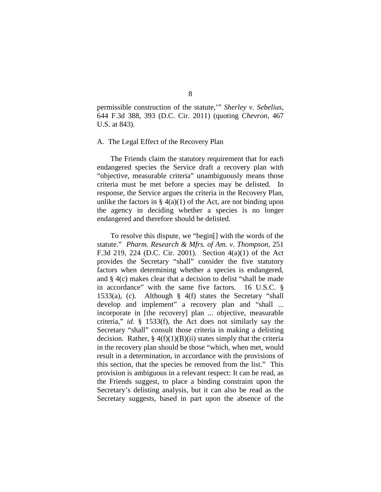permissible construction of the statute,'" *Sherley v. Sebelius*, 644 F.3d 388, 393 (D.C. Cir. 2011) (quoting *Chevron*, 467 U.S. at 843).

#### A. The Legal Effect of the Recovery Plan

The Friends claim the statutory requirement that for each endangered species the Service draft a recovery plan with "objective, measurable criteria" unambiguously means those criteria must be met before a species may be delisted. In response, the Service argues the criteria in the Recovery Plan, unlike the factors in  $\S$  4(a)(1) of the Act, are not binding upon the agency in deciding whether a species is no longer endangered and therefore should be delisted.

To resolve this dispute, we "begin[] with the words of the statute." *Pharm. Research & Mfrs. of Am. v. Thompson*, 251 F.3d 219, 224 (D.C. Cir. 2001). Section 4(a)(1) of the Act provides the Secretary "shall" consider the five statutory factors when determining whether a species is endangered, and § 4(c) makes clear that a decision to delist "shall be made in accordance" with the same five factors. 16 U.S.C. § 1533(a), (c). Although § 4(f) states the Secretary "shall develop and implement" a recovery plan and "shall ... incorporate in [the recovery] plan ... objective, measurable criteria," *id.* § 1533(f), the Act does not similarly say the Secretary "shall" consult those criteria in making a delisting decision. Rather,  $\S 4(f)(1)(B)(ii)$  states simply that the criteria in the recovery plan should be those "which, when met, would result in a determination, in accordance with the provisions of this section, that the species be removed from the list." This provision is ambiguous in a relevant respect: It can be read, as the Friends suggest, to place a binding constraint upon the Secretary's delisting analysis, but it can also be read as the Secretary suggests, based in part upon the absence of the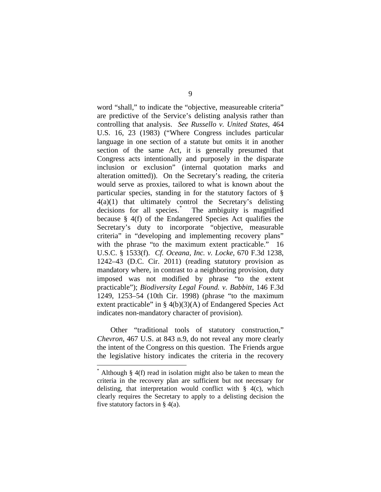word "shall," to indicate the "objective, measureable criteria" are predictive of the Service's delisting analysis rather than controlling that analysis. *See Russello v. United States*, 464 U.S. 16, 23 (1983) ("Where Congress includes particular language in one section of a statute but omits it in another section of the same Act, it is generally presumed that Congress acts intentionally and purposely in the disparate inclusion or exclusion" (internal quotation marks and alteration omitted)). On the Secretary's reading, the criteria would serve as proxies, tailored to what is known about the particular species, standing in for the statutory factors of §  $4(a)(1)$  that ultimately control the Secretary's delisting decisions for all species.<sup>[\\*](#page-8-0)</sup> The ambiguity is magnified because § 4(f) of the Endangered Species Act qualifies the Secretary's duty to incorporate "objective, measurable" criteria" in "developing and implementing recovery plans" with the phrase "to the maximum extent practicable." 16 U.S.C. § 1533(f). *Cf. Oceana, Inc. v. Locke*, 670 F.3d 1238, 1242–43 (D.C. Cir. 2011) (reading statutory provision as mandatory where, in contrast to a neighboring provision, duty imposed was not modified by phrase "to the extent practicable"); *Biodiversity Legal Found. v. Babbitt*, 146 F.3d 1249, 1253–54 (10th Cir. 1998) (phrase "to the maximum extent practicable" in § 4(b)(3)(A) of Endangered Species Act indicates non-mandatory character of provision).

Other "traditional tools of statutory construction," *Chevron*, 467 U.S. at 843 n.9, do not reveal any more clearly the intent of the Congress on this question. The Friends argue the legislative history indicates the criteria in the recovery

<span id="page-8-0"></span> $*$  Although § 4(f) read in isolation might also be taken to mean the criteria in the recovery plan are sufficient but not necessary for delisting, that interpretation would conflict with § 4(c), which clearly requires the Secretary to apply to a delisting decision the five statutory factors in § 4(a).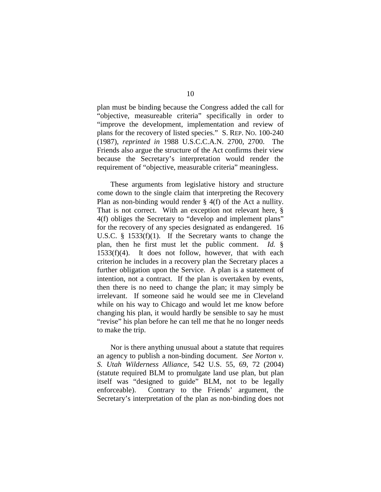plan must be binding because the Congress added the call for "objective, measureable criteria" specifically in order to "improve the development, implementation and review of plans for the recovery of listed species." S. REP. NO. 100-240 (1987), *reprinted in* 1988 U.S.C.C.A.N. 2700, 2700.The Friends also argue the structure of the Act confirms their view because the Secretary's interpretation would render the requirement of "objective, measurable criteria" meaningless.

These arguments from legislative history and structure come down to the single claim that interpreting the Recovery Plan as non-binding would render § 4(f) of the Act a nullity. That is not correct. With an exception not relevant here, § 4(f) obliges the Secretary to "develop and implement plans" for the recovery of any species designated as endangered. 16 U.S.C. § 1533(f)(1). If the Secretary wants to change the plan, then he first must let the public comment. *Id.* § 1533(f)(4). It does not follow, however, that with each criterion he includes in a recovery plan the Secretary places a further obligation upon the Service. A plan is a statement of intention, not a contract. If the plan is overtaken by events, then there is no need to change the plan; it may simply be irrelevant. If someone said he would see me in Cleveland while on his way to Chicago and would let me know before changing his plan, it would hardly be sensible to say he must "revise" his plan before he can tell me that he no longer needs to make the trip.

Nor is there anything unusual about a statute that requires an agency to publish a non-binding document. *See Norton v. S. Utah Wilderness Alliance*, 542 U.S. 55, 69, 72 (2004) (statute required BLM to promulgate land use plan, but plan itself was "designed to guide" BLM, not to be legally enforceable). Contrary to the Friends' argument, the Secretary's interpretation of the plan as non-binding does not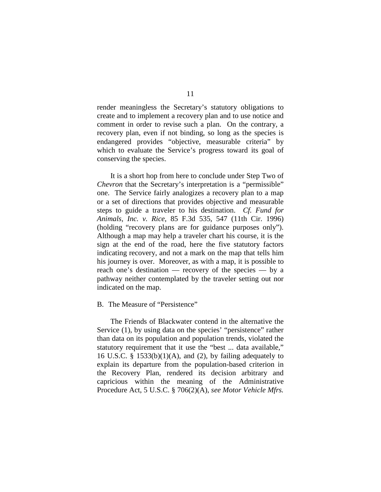render meaningless the Secretary's statutory obligations to create and to implement a recovery plan and to use notice and comment in order to revise such a plan. On the contrary, a recovery plan, even if not binding, so long as the species is endangered provides "objective, measurable criteria" by which to evaluate the Service's progress toward its goal of conserving the species.

It is a short hop from here to conclude under Step Two of *Chevron* that the Secretary's interpretation is a "permissible" one. The Service fairly analogizes a recovery plan to a map or a set of directions that provides objective and measurable steps to guide a traveler to his destination. *Cf. Fund for Animals, Inc. v. Rice*, 85 F.3d 535, 547 (11th Cir. 1996) (holding "recovery plans are for guidance purposes only"). Although a map may help a traveler chart his course, it is the sign at the end of the road, here the five statutory factors indicating recovery, and not a mark on the map that tells him his journey is over. Moreover, as with a map, it is possible to reach one's destination — recovery of the species — by a pathway neither contemplated by the traveler setting out nor indicated on the map.

## B. The Measure of "Persistence"

The Friends of Blackwater contend in the alternative the Service (1), by using data on the species' "persistence" rather than data on its population and population trends, violated the statutory requirement that it use the "best ... data available," 16 U.S.C. § 1533 $(b)(1)(A)$ , and  $(2)$ , by failing adequately to explain its departure from the population-based criterion in the Recovery Plan, rendered its decision arbitrary and capricious within the meaning of the Administrative Procedure Act, 5 U.S.C. § 706(2)(A), *see Motor Vehicle Mfrs.*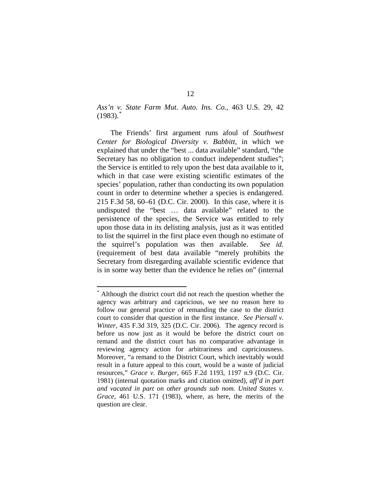*Ass'n v. State Farm Mut. Auto. Ins. Co.*, 463 U.S. 29, 42  $(1983).$ <sup>[\\*](#page-11-0)</sup>

The Friends' first argument runs afoul of *Southwest Center for Biological Diversity v. Babbitt*, in which we explained that under the "best ... data available" standard, "the Secretary has no obligation to conduct independent studies"; the Service is entitled to rely upon the best data available to it, which in that case were existing scientific estimates of the species' population, rather than conducting its own population count in order to determine whether a species is endangered. 215 F.3d 58, 60–61 (D.C. Cir. 2000). In this case, where it is undisputed the "best … data available" related to the persistence of the species, the Service was entitled to rely upon those data in its delisting analysis, just as it was entitled to list the squirrel in the first place even though no estimate of the squirrel's population was then available. *See id.*  (requirement of best data available "merely prohibits the Secretary from disregarding available scientific evidence that is in some way better than the evidence he relies on" (internal

<span id="page-11-0"></span> <sup>\*</sup> Although the district court did not reach the question whether the agency was arbitrary and capricious, we see no reason here to follow our general practice of remanding the case to the district court to consider that question in the first instance. *See Piersall v. Winter*, 435 F.3d 319, 325 (D.C. Cir. 2006). The agency record is before us now just as it would be before the district court on remand and the district court has no comparative advantage in reviewing agency action for arbitrariness and capriciousness. Moreover, "a remand to the District Court, which inevitably would result in a future appeal to this court, would be a waste of judicial resources," *Grace v. Burger*, 665 F.2d 1193, 1197 n.9 (D.C. Cir. 1981) (internal quotation marks and citation omitted), *aff'd in part and vacated in part on other grounds sub nom. United States v. Grace*, 461 U.S. 171 (1983), where, as here, the merits of the question are clear.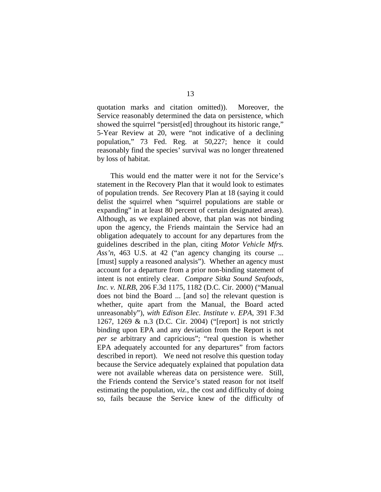quotation marks and citation omitted)). Moreover, the Service reasonably determined the data on persistence, which showed the squirrel "persist[ed] throughout its historic range," 5-Year Review at 20, were "not indicative of a declining population," 73 Fed. Reg. at 50,227; hence it could reasonably find the species' survival was no longer threatened by loss of habitat.

This would end the matter were it not for the Service's statement in the Recovery Plan that it would look to estimates of population trends. *See* Recovery Plan at 18 (saying it could delist the squirrel when "squirrel populations are stable or expanding" in at least 80 percent of certain designated areas). Although, as we explained above, that plan was not binding upon the agency, the Friends maintain the Service had an obligation adequately to account for any departures from the guidelines described in the plan, citing *Motor Vehicle Mfrs. Ass'n*, 463 U.S. at 42 ("an agency changing its course ... [must] supply a reasoned analysis"). Whether an agency must account for a departure from a prior non-binding statement of intent is not entirely clear. *Compare Sitka Sound Seafoods, Inc. v. NLRB*, 206 F.3d 1175, 1182 (D.C. Cir. 2000) ("Manual does not bind the Board ... [and so] the relevant question is whether, quite apart from the Manual, the Board acted unreasonably"), *with Edison Elec. Institute v. EPA*, 391 F.3d 1267, 1269 & n.3 (D.C. Cir. 2004) ("[report] is not strictly binding upon EPA and any deviation from the Report is not *per se* arbitrary and capricious"; "real question is whether EPA adequately accounted for any departures" from factors described in report). We need not resolve this question today because the Service adequately explained that population data were not available whereas data on persistence were. Still, the Friends contend the Service's stated reason for not itself estimating the population, *viz.*, the cost and difficulty of doing so, fails because the Service knew of the difficulty of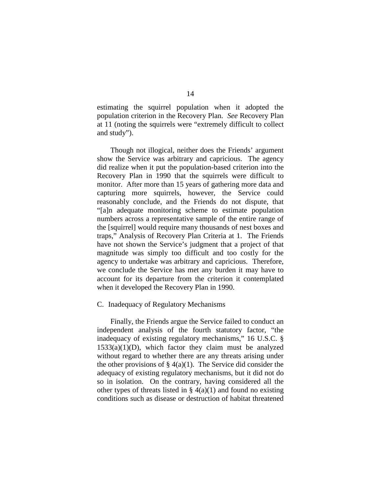estimating the squirrel population when it adopted the population criterion in the Recovery Plan. *See* Recovery Plan at 11 (noting the squirrels were "extremely difficult to collect and study").

Though not illogical, neither does the Friends' argument show the Service was arbitrary and capricious. The agency did realize when it put the population-based criterion into the Recovery Plan in 1990 that the squirrels were difficult to monitor. After more than 15 years of gathering more data and capturing more squirrels, however, the Service could reasonably conclude, and the Friends do not dispute, that "[a]n adequate monitoring scheme to estimate population numbers across a representative sample of the entire range of the [squirrel] would require many thousands of nest boxes and traps," Analysis of Recovery Plan Criteria at 1. The Friends have not shown the Service's judgment that a project of that magnitude was simply too difficult and too costly for the agency to undertake was arbitrary and capricious. Therefore, we conclude the Service has met any burden it may have to account for its departure from the criterion it contemplated when it developed the Recovery Plan in 1990.

## C. Inadequacy of Regulatory Mechanisms

Finally, the Friends argue the Service failed to conduct an independent analysis of the fourth statutory factor, "the inadequacy of existing regulatory mechanisms," 16 U.S.C. §  $1533(a)(1)(D)$ , which factor they claim must be analyzed without regard to whether there are any threats arising under the other provisions of  $\S(4(a)(1))$ . The Service did consider the adequacy of existing regulatory mechanisms, but it did not do so in isolation. On the contrary, having considered all the other types of threats listed in  $\S$  4(a)(1) and found no existing conditions such as disease or destruction of habitat threatened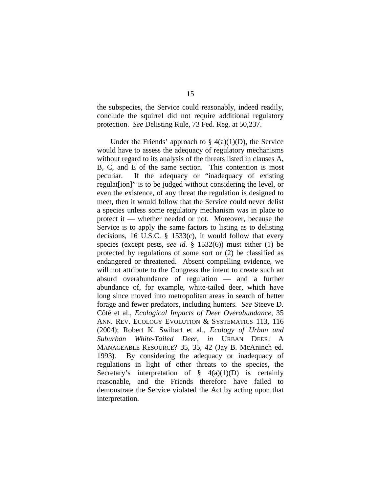the subspecies, the Service could reasonably, indeed readily, conclude the squirrel did not require additional regulatory protection. *See* Delisting Rule, 73 Fed. Reg. at 50,237.

Under the Friends' approach to  $\S$  4(a)(1)(D), the Service would have to assess the adequacy of regulatory mechanisms without regard to its analysis of the threats listed in clauses A, B, C, and E of the same section. This contention is most peculiar. If the adequacy or "inadequacy of existing regulat[ion]" is to be judged without considering the level, or even the existence, of any threat the regulation is designed to meet, then it would follow that the Service could never delist a species unless some regulatory mechanism was in place to protect it — whether needed or not. Moreover, because the Service is to apply the same factors to listing as to delisting decisions, 16 U.S.C. § 1533(c), it would follow that every species (except pests, *see id.* § 1532(6)) must either (1) be protected by regulations of some sort or (2) be classified as endangered or threatened. Absent compelling evidence, we will not attribute to the Congress the intent to create such an absurd overabundance of regulation — and a further abundance of, for example, white-tailed deer, which have long since moved into metropolitan areas in search of better forage and fewer predators, including hunters. *See* Steeve D. Côté et al., *Ecological Impacts of Deer Overabundance*, 35 ANN. REV. ECOLOGY EVOLUTION & SYSTEMATICS 113, 116 (2004); Robert K. Swihart et al., *Ecology of Urban and Suburban White-Tailed Deer*, *in* URBAN DEER: A MANAGEABLE RESOURCE? 35, 35, 42 (Jay B. McAninch ed. 1993). By considering the adequacy or inadequacy of regulations in light of other threats to the species, the Secretary's interpretation of  $\S$  4(a)(1)(D) is certainly reasonable, and the Friends therefore have failed to demonstrate the Service violated the Act by acting upon that interpretation.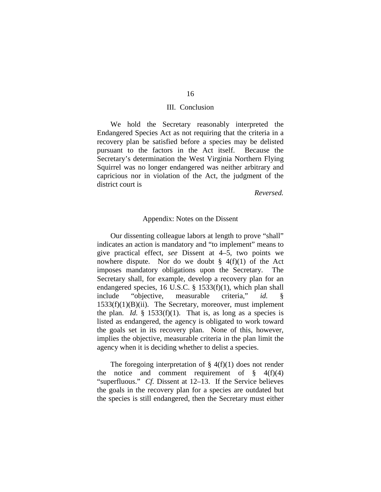### III. Conclusion

We hold the Secretary reasonably interpreted the Endangered Species Act as not requiring that the criteria in a recovery plan be satisfied before a species may be delisted pursuant to the factors in the Act itself. Because the Secretary's determination the West Virginia Northern Flying Squirrel was no longer endangered was neither arbitrary and capricious nor in violation of the Act, the judgment of the district court is

#### *Reversed.*

## Appendix: Notes on the Dissent

Our dissenting colleague labors at length to prove "shall" indicates an action is mandatory and "to implement" means to give practical effect, *see* Dissent at 4–5, two points we nowhere dispute. Nor do we doubt  $\S$  4(f)(1) of the Act imposes mandatory obligations upon the Secretary. The Secretary shall, for example, develop a recovery plan for an endangered species, 16 U.S.C. § 1533(f)(1), which plan shall include "objective, measurable criteria," *id.* 1533(f)(1)(B)(ii). The Secretary, moreover, must implement the plan. *Id.*  $\frac{1}{2}$  1533(f)(1). That is, as long as a species is listed as endangered, the agency is obligated to work toward the goals set in its recovery plan. None of this, however, implies the objective, measurable criteria in the plan limit the agency when it is deciding whether to delist a species.

The foregoing interpretation of  $\S$  4(f)(1) does not render the notice and comment requirement of  $\frac{1}{2}$  4(f)(4) "superfluous." *Cf.* Dissent at 12–13. If the Service believes the goals in the recovery plan for a species are outdated but the species is still endangered, then the Secretary must either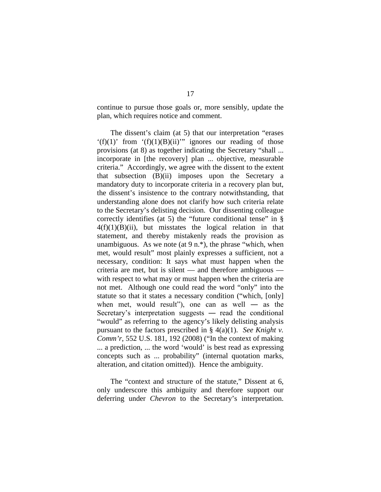continue to pursue those goals or, more sensibly, update the plan, which requires notice and comment.

The dissent's claim (at 5) that our interpretation "erases  $'(f)(1)'$  from  $'(f)(1)(B)(ii)''$  ignores our reading of those provisions (at 8) as together indicating the Secretary "shall ... incorporate in [the recovery] plan ... objective, measurable criteria." Accordingly, we agree with the dissent to the extent that subsection (B)(ii) imposes upon the Secretary a mandatory duty to incorporate criteria in a recovery plan but, the dissent's insistence to the contrary notwithstanding, that understanding alone does not clarify how such criteria relate to the Secretary's delisting decision. Our dissenting colleague correctly identifies (at 5) the "future conditional tense" in §  $4(f)(1)(B)(ii)$ , but misstates the logical relation in that statement, and thereby mistakenly reads the provision as unambiguous. As we note (at  $9 \text{ n}$ <sup>\*</sup>), the phrase "which, when met, would result" most plainly expresses a sufficient, not a necessary, condition: It says what must happen when the criteria are met, but is silent — and therefore ambiguous with respect to what may or must happen when the criteria are not met. Although one could read the word "only" into the statute so that it states a necessary condition ("which, [only] when met, would result"), one can as well — as the Secretary's interpretation suggests ― read the conditional "would" as referring to the agency's likely delisting analysis pursuant to the factors prescribed in § 4(a)(1). *See Knight v. Comm'r*, 552 U.S. 181, 192 (2008) ("In the context of making ... a prediction, ... the word 'would' is best read as expressing concepts such as ... probability" (internal quotation marks, alteration, and citation omitted)). Hence the ambiguity.

The "context and structure of the statute," Dissent at 6, only underscore this ambiguity and therefore support our deferring under *Chevron* to the Secretary's interpretation.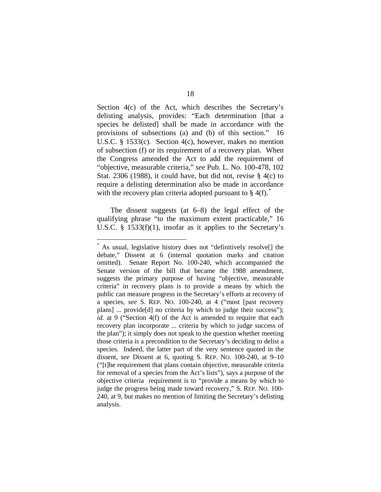Section 4(c) of the Act, which describes the Secretary's delisting analysis, provides: "Each determination [that a species be delisted] shall be made in accordance with the provisions of subsections (a) and (b) of this section." 16 U.S.C. § 1533(c). Section 4(c), however, makes no mention of subsection (f) or its requirement of a recovery plan. When the Congress amended the Act to add the requirement of "objective, measurable criteria," *see* Pub. L. No. 100-478, 102 Stat. 2306 (1988), it could have, but did not, revise  $\S$  4(c) to require a delisting determination also be made in accordance with the recovery plan criteria adopted pursuant to  $\S$  4(f).

The dissent suggests (at 6–8) the legal effect of the qualifying phrase "to the maximum extent practicable," 16 U.S.C. § 1533(f)(1), insofar as it applies to the Secretary's

<span id="page-17-0"></span> <sup>\*</sup> As usual, legislative history does not "definitively resolve[] the debate," Dissent at 6 (internal quotation marks and citation omitted). Senate Report No. 100-240, which accompanied the Senate version of the bill that became the 1988 amendment, suggests the primary purpose of having "objective, measurable criteria" in recovery plans is to provide a means by which the public can measure progress in the Secretary's efforts at recovery of a species, *see* S. REP. NO. 100-240, at 4 ("most [past recovery plans] ... provide[d] no criteria by which to judge their success"); *id.* at 9 ("Section 4(f) of the Act is amended to require that each recovery plan incorporate ... criteria by which to judge success of the plan"); it simply does not speak to the question whether meeting those criteria is a precondition to the Secretary's deciding to delist a species. Indeed, the latter part of the very sentence quoted in the dissent, *see* Dissent at 6, quoting S. REP. NO. 100-240, at 9–10 ("[t]he requirement that plans contain objective, measurable criteria for removal of a species from the Act's lists"), says a purpose of the objective criteria requirement is to "provide a means by which to judge the progress being made toward recovery," S. REP. NO. 100- 240, at 9, but makes no mention of limiting the Secretary's delisting analysis.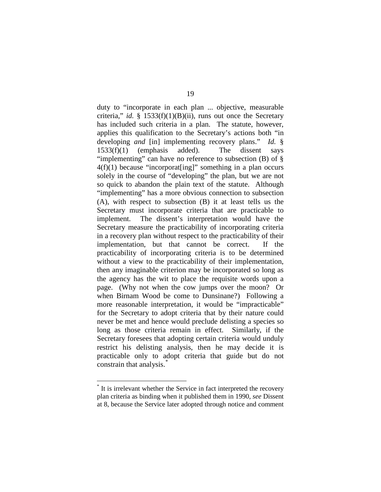duty to "incorporate in each plan ... objective, measurable criteria," *id.* § 1533(f)(1)(B)(ii), runs out once the Secretary has included such criteria in a plan. The statute, however, applies this qualification to the Secretary's actions both "in developing *and* [in] implementing recovery plans." *Id.* § 1533(f)(1) (emphasis added). The dissent says "implementing" can have no reference to subsection  $(B)$  of  $\S$  $4(f)(1)$  because "incorporat [ing]" something in a plan occurs solely in the course of "developing" the plan, but we are not so quick to abandon the plain text of the statute. Although "implementing" has a more obvious connection to subsection (A), with respect to subsection (B) it at least tells us the Secretary must incorporate criteria that are practicable to implement. The dissent's interpretation would have the Secretary measure the practicability of incorporating criteria in a recovery plan without respect to the practicability of their implementation, but that cannot be correct. If the practicability of incorporating criteria is to be determined without a view to the practicability of their implementation, then any imaginable criterion may be incorporated so long as the agency has the wit to place the requisite words upon a page. (Why not when the cow jumps over the moon? Or when Birnam Wood be come to Dunsinane?) Following a more reasonable interpretation, it would be "impracticable" for the Secretary to adopt criteria that by their nature could never be met and hence would preclude delisting a species so long as those criteria remain in effect. Similarly, if the Secretary foresees that adopting certain criteria would unduly restrict his delisting analysis, then he may decide it is practicable only to adopt criteria that guide but do not constrain that analysis.<sup>[\\*](#page-18-0)</sup>

<span id="page-18-0"></span>It is irrelevant whether the Service in fact interpreted the recovery plan criteria as binding when it published them in 1990, *see* Dissent at 8, because the Service later adopted through notice and comment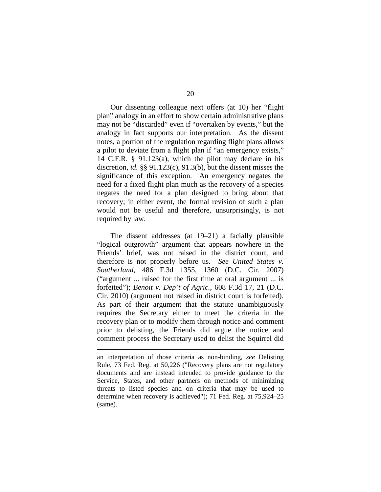Our dissenting colleague next offers (at 10) her "flight plan" analogy in an effort to show certain administrative plans may not be "discarded" even if "overtaken by events," but the analogy in fact supports our interpretation. As the dissent notes, a portion of the regulation regarding flight plans allows a pilot to deviate from a flight plan if "an emergency exists," 14 C.F.R. § 91.123(a), which the pilot may declare in his discretion, *id.* §§ 91.123(c), 91.3(b), but the dissent misses the significance of this exception. An emergency negates the need for a fixed flight plan much as the recovery of a species negates the need for a plan designed to bring about that recovery; in either event, the formal revision of such a plan would not be useful and therefore, unsurprisingly, is not required by law.

The dissent addresses (at 19–21) a facially plausible "logical outgrowth" argument that appears nowhere in the Friends' brief, was not raised in the district court, and therefore is not properly before us. *See United States v. Southerland*, 486 F.3d 1355, 1360 (D.C. Cir. 2007) ("argument ... raised for the first time at oral argument ... is forfeited"); *Benoit v. Dep't of Agric.*, 608 F.3d 17, 21 (D.C. Cir. 2010) (argument not raised in district court is forfeited). As part of their argument that the statute unambiguously requires the Secretary either to meet the criteria in the recovery plan or to modify them through notice and comment prior to delisting, the Friends did argue the notice and comment process the Secretary used to delist the Squirrel did

 $\overline{a}$ 

an interpretation of those criteria as non-binding, *see* Delisting Rule, 73 Fed. Reg. at 50,226 ("Recovery plans are not regulatory documents and are instead intended to provide guidance to the Service, States, and other partners on methods of minimizing threats to listed species and on criteria that may be used to determine when recovery is achieved"); 71 Fed. Reg. at 75,924–25 (same).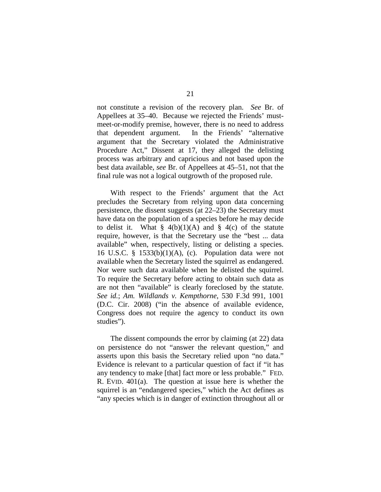not constitute a revision of the recovery plan. *See* Br. of Appellees at 35–40. Because we rejected the Friends' mustmeet-or-modify premise, however, there is no need to address that dependent argument. In the Friends' "alternative argument that the Secretary violated the Administrative Procedure Act," Dissent at 17, they alleged the delisting process was arbitrary and capricious and not based upon the best data available, *see* Br. of Appellees at 45–51, not that the final rule was not a logical outgrowth of the proposed rule.

With respect to the Friends' argument that the Act precludes the Secretary from relying upon data concerning persistence, the dissent suggests (at 22–23) the Secretary must have data on the population of a species before he may decide to delist it. What  $\S$  4(b)(1)(A) and  $\S$  4(c) of the statute require, however, is that the Secretary use the "best ... data available" when, respectively, listing or delisting a species. 16 U.S.C. §  $1533(b)(1)(A)$ , (c). Population data were not available when the Secretary listed the squirrel as endangered. Nor were such data available when he delisted the squirrel. To require the Secretary before acting to obtain such data as are not then "available" is clearly foreclosed by the statute. *See id.*; *Am. Wildlands v. Kempthorne*, 530 F.3d 991, 1001 (D.C. Cir. 2008) ("in the absence of available evidence, Congress does not require the agency to conduct its own studies").

The dissent compounds the error by claiming (at 22) data on persistence do not "answer the relevant question," and asserts upon this basis the Secretary relied upon "no data." Evidence is relevant to a particular question of fact if "it has any tendency to make [that] fact more or less probable." FED. R. EVID. 401(a). The question at issue here is whether the squirrel is an "endangered species," which the Act defines as "any species which is in danger of extinction throughout all or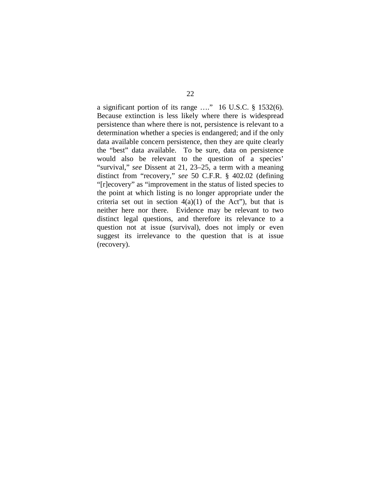a significant portion of its range …." 16 U.S.C. § 1532(6). Because extinction is less likely where there is widespread persistence than where there is not, persistence is relevant to a determination whether a species is endangered; and if the only data available concern persistence, then they are quite clearly the "best" data available. To be sure, data on persistence would also be relevant to the question of a species' "survival," *see* Dissent at 21, 23–25, a term with a meaning distinct from "recovery," *see* 50 C.F.R. § 402.02 (defining "[r]ecovery" as "improvement in the status of listed species to the point at which listing is no longer appropriate under the criteria set out in section  $4(a)(1)$  of the Act", but that is neither here nor there. Evidence may be relevant to two distinct legal questions, and therefore its relevance to a question not at issue (survival), does not imply or even suggest its irrelevance to the question that is at issue (recovery).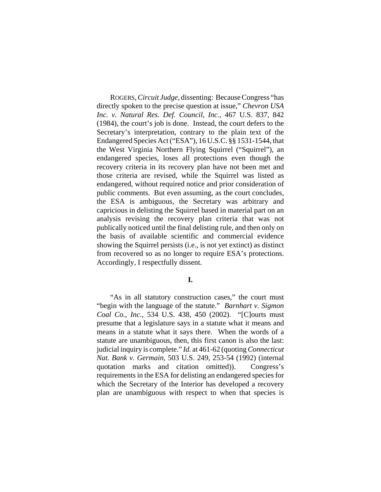ROGERS, *Circuit Judge*, dissenting: Because Congress "has directly spoken to the precise question at issue," *Chevron USA Inc. v. Natural Res. Def. Council, Inc.*, 467 U.S. 837, 842 (1984), the court's job is done. Instead, the court defers to the Secretary's interpretation, contrary to the plain text of the Endangered Species Act ("ESA"), 16 U.S.C. §§ 1531-1544, that the West Virginia Northern Flying Squirrel ("Squirrel"), an endangered species, loses all protections even though the recovery criteria in its recovery plan have not been met and those criteria are revised, while the Squirrel was listed as endangered, without required notice and prior consideration of public comments. But even assuming, as the court concludes, the ESA is ambiguous, the Secretary was arbitrary and capricious in delisting the Squirrel based in material part on an analysis revising the recovery plan criteria that was not publically noticed until the final delisting rule, and then only on the basis of available scientific and commercial evidence showing the Squirrel persists (i.e., is not yet extinct) as distinct from recovered so as no longer to require ESA's protections. Accordingly, I respectfully dissent.

#### **I.**

"As in all statutory construction cases," the court must "begin with the language of the statute." *Barnhart v. Sigmon Coal Co., Inc.*, 534 U.S. 438, 450 (2002). "[C]ourts must presume that a legislature says in a statute what it means and means in a statute what it says there. When the words of a statute are unambiguous, then, this first canon is also the last: judicial inquiry is complete." *Id.* at 461-62 (quoting *Connecticut Nat. Bank v. Germain*, 503 U.S. 249, 253-54 (1992) (internal quotation marks and citation omitted)). Congress's requirements in the ESA for delisting an endangered species for which the Secretary of the Interior has developed a recovery plan are unambiguous with respect to when that species is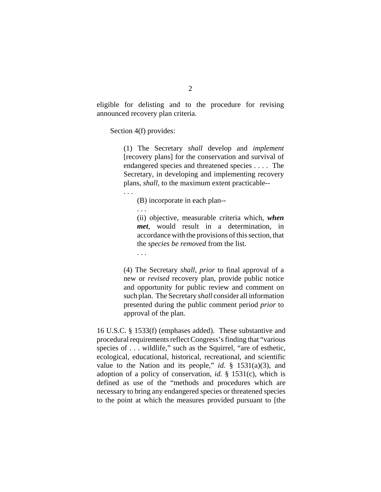eligible for delisting and to the procedure for revising announced recovery plan criteria.

Section 4(f) provides:

(1) The Secretary *shall* develop and *implement* [recovery plans] for the conservation and survival of endangered species and threatened species . . . . The Secretary, in developing and implementing recovery plans, *shall*, to the maximum extent practicable--

(B) incorporate in each plan--

. . .

. . .

(ii) objective, measurable criteria which, *when met*, would result in a determination, in accordance with the provisions of this section, that the *species be removed* from the list.

. . .

(4) The Secretary *shall*, *prior* to final approval of a new or *revised* recovery plan, provide public notice and opportunity for public review and comment on such plan. The Secretary *shall* consider all information presented during the public comment period *prior* to approval of the plan.

16 U.S.C. § 1533(f) (emphases added). These substantive and procedural requirements reflect Congress's finding that "various species of . . . wildlife," such as the Squirrel, "are of esthetic, ecological, educational, historical, recreational, and scientific value to the Nation and its people," *id.*  $\S$  1531(a)(3), and adoption of a policy of conservation, *id.* § 1531(c), which is defined as use of the "methods and procedures which are necessary to bring any endangered species or threatened species to the point at which the measures provided pursuant to [the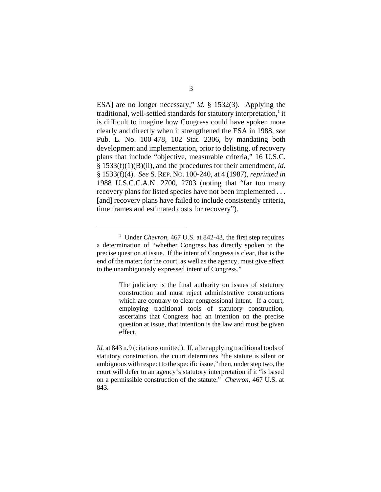ESA] are no longer necessary," *id.* § 1532(3). Applying the traditional, well-settled standards for statutory interpretation,<sup>1</sup> it is difficult to imagine how Congress could have spoken more clearly and directly when it strengthened the ESA in 1988, *see* Pub. L. No. 100-478, 102 Stat. 2306, by mandating both development and implementation, prior to delisting, of recovery plans that include "objective, measurable criteria," 16 U.S.C. § 1533(f)(1)(B)(ii), and the procedures for their amendment, *id.* § 1533(f)(4). *See* S. REP. NO. 100-240, at 4 (1987), *reprinted in* 1988 U.S.C.C.A.N. 2700, 2703 (noting that "far too many recovery plans for listed species have not been implemented . . . [and] recovery plans have failed to include consistently criteria, time frames and estimated costs for recovery").

<sup>&</sup>lt;sup>1</sup> Under *Chevron*, 467 U.S. at 842-43, the first step requires a determination of "whether Congress has directly spoken to the precise question at issue. If the intent of Congress is clear, that is the end of the mater; for the court, as well as the agency, must give effect to the unambiguously expressed intent of Congress."

The judiciary is the final authority on issues of statutory construction and must reject administrative constructions which are contrary to clear congressional intent. If a court, employing traditional tools of statutory construction, ascertains that Congress had an intention on the precise question at issue, that intention is the law and must be given effect.

*Id.* at 843 n.9 (citations omitted). If, after applying traditional tools of statutory construction, the court determines "the statute is silent or ambiguous with respect to the specific issue," then, under step two, the court will defer to an agency's statutory interpretation if it "is based on a permissible construction of the statute." *Chevron*, 467 U.S. at 843.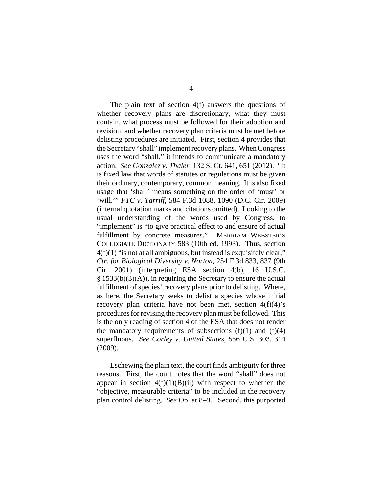The plain text of section 4(f) answers the questions of whether recovery plans are discretionary, what they must contain, what process must be followed for their adoption and revision, and whether recovery plan criteria must be met before delisting procedures are initiated. First, section 4 provides that the Secretary "shall" implement recovery plans. When Congress uses the word "shall," it intends to communicate a mandatory action. *See Gonzalez v. Thaler*, 132 S. Ct. 641, 651 (2012). "It is fixed law that words of statutes or regulations must be given their ordinary, contemporary, common meaning. It is also fixed usage that 'shall' means something on the order of 'must' or 'will.'" *FTC v. Tarriff*, 584 F.3d 1088, 1090 (D.C. Cir. 2009) (internal quotation marks and citations omitted). Looking to the usual understanding of the words used by Congress, to "implement" is "to give practical effect to and ensure of actual fulfillment by concrete measures." MERRIAM WEBSTER'S COLLEGIATE DICTIONARY 583 (10th ed. 1993). Thus, section  $4(f)(1)$  "is not at all ambiguous, but instead is exquisitely clear," *Ctr. for Biological Diversity v. Norton*, 254 F.3d 833, 837 (9th Cir. 2001) (interpreting ESA section 4(b), 16 U.S.C. § 1533(b)(3)(A)), in requiring the Secretary to ensure the actual fulfillment of species' recovery plans prior to delisting. Where, as here, the Secretary seeks to delist a species whose initial recovery plan criteria have not been met, section  $4(f)(4)$ 's procedures for revising the recovery plan must be followed. This is the only reading of section 4 of the ESA that does not render the mandatory requirements of subsections  $(f)(1)$  and  $(f)(4)$ superfluous. *See Corley v. United States*, 556 U.S. 303, 314 (2009).

Eschewing the plain text, the court finds ambiguity for three reasons. First, the court notes that the word "shall" does not appear in section  $4(f)(1)(B)(ii)$  with respect to whether the "objective, measurable criteria" to be included in the recovery plan control delisting. *See* Op. at 8–9. Second, this purported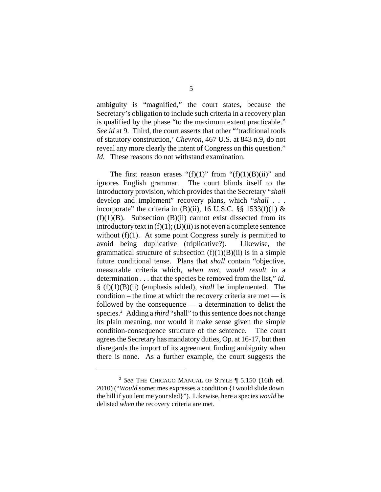ambiguity is "magnified," the court states, because the Secretary's obligation to include such criteria in a recovery plan is qualified by the phase "to the maximum extent practicable." *See id* at 9. Third, the court asserts that other "'traditional tools of statutory construction,' *Chevron*, 467 U.S. at 843 n.9, do not reveal any more clearly the intent of Congress on this question." *Id.* These reasons do not withstand examination.

The first reason erases " $(f)(1)$ " from " $(f)(1)(B)(ii)$ " and ignores English grammar. The court blinds itself to the introductory provision, which provides that the Secretary "*shall* develop and implement" recovery plans, which "*shall* . . . incorporate" the criteria in  $(B)(ii)$ , 16 U.S.C. §§ 1533 $(f)(1)$  &  $(f)(1)(B)$ . Subsection  $(B)(ii)$  cannot exist dissected from its introductory text in  $(f)(1)$ ;  $(B)(ii)$  is not even a complete sentence without  $(f)(1)$ . At some point Congress surely is permitted to avoid being duplicative (triplicative?). Likewise, the grammatical structure of subsection  $(f)(1)(B)(ii)$  is in a simple future conditional tense. Plans that *shall* contain "objective, measurable criteria which, *when met*, *would result* in a determination . . . that the species be removed from the list," *id.* § (f)(1)(B)(ii) (emphasis added), *shall* be implemented. The condition – the time at which the recovery criteria are met  $-$  is followed by the consequence — a determination to delist the species.<sup>2</sup> Adding a *third* "shall" to this sentence does not change its plain meaning, nor would it make sense given the simple condition-consequence structure of the sentence. The court agrees the Secretary has mandatory duties, Op. at 16-17, but then disregards the import of its agreement finding ambiguity when there is none. As a further example, the court suggests the

<sup>2</sup> *See* THE CHICAGO MANUAL OF STYLE ¶ 5.150 (16th ed. 2010) ("*Would* sometimes expresses a condition {I would slide down the hill if you lent me your sled}"). Likewise, here a species *would* be delisted *when* the recovery criteria are met.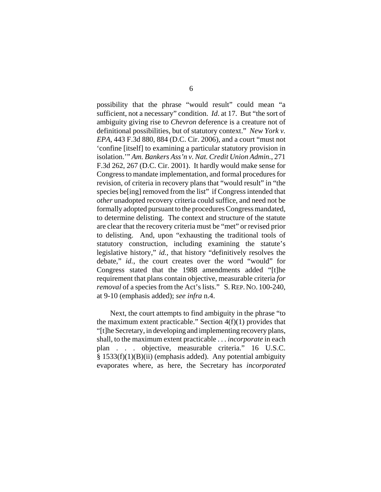possibility that the phrase "would result" could mean "a sufficient, not a necessary" condition. *Id*. at 17. But "the sort of ambiguity giving rise to *Chevron* deference is a creature not of definitional possibilities, but of statutory context." *New York v. EPA*, 443 F.3d 880, 884 (D.C. Cir. 2006), and a court "must not 'confine [itself] to examining a particular statutory provision in isolation.'" *Am. Bankers Ass'n v. Nat. Credit Union Admin.*, 271 F.3d 262, 267 (D.C. Cir. 2001). It hardly would make sense for Congress to mandate implementation, and formal procedures for revision, of criteria in recovery plans that "would result" in "the species be<sup>[ing]</sup> removed from the list" if Congress intended that *other* unadopted recovery criteria could suffice, and need not be formally adopted pursuant to the procedures Congress mandated, to determine delisting. The context and structure of the statute are clear that the recovery criteria must be "met" or revised prior to delisting. And, upon "exhausting the traditional tools of statutory construction, including examining the statute's legislative history," *id.,* that history "definitively resolves the debate," *id.*, the court creates over the word "would" for Congress stated that the 1988 amendments added "[t]he requirement that plans contain objective, measurable criteria *for removal* of a species from the Act's lists." S. REP. NO. 100-240, at 9-10 (emphasis added); *see infra* n.4.

Next, the court attempts to find ambiguity in the phrase "to the maximum extent practicable." Section  $4(f)(1)$  provides that "[t]he Secretary, in developing and implementing recovery plans, shall, to the maximum extent practicable . . . *incorporate* in each plan . . . objective, measurable criteria." 16 U.S.C.  $§$  1533(f)(1)(B)(ii) (emphasis added). Any potential ambiguity evaporates where, as here, the Secretary has *incorporated*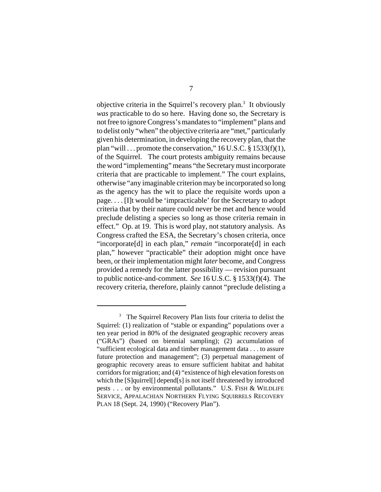objective criteria in the Squirrel's recovery plan.<sup>3</sup> It obviously *was* practicable to do so here. Having done so, the Secretary is not free to ignore Congress's mandates to "implement" plans and to delist only "when" the objective criteria are "met," particularly given his determination, in developing the recovery plan, that the plan "will ... promote the conservation,"  $16$  U.S.C. §  $1533(f)(1)$ , of the Squirrel. The court protests ambiguity remains because the word "implementing" means "the Secretary must incorporate criteria that are practicable to implement." The court explains, otherwise "any imaginable criterion may be incorporated so long as the agency has the wit to place the requisite words upon a page. . . . [I]t would be 'impracticable' for the Secretary to adopt criteria that by their nature could never be met and hence would preclude delisting a species so long as those criteria remain in effect." Op. at 19. This is word play, not statutory analysis. As Congress crafted the ESA, the Secretary's chosen criteria, once "incorporate[d] in each plan," *remain* "incorporate[d] in each plan," however "practicable" their adoption might once have been, or their implementation might *later* become, and Congress provided a remedy for the latter possibility — revision pursuant to public notice-and-comment. *See* 16 U.S.C. § 1533(f)(4). The recovery criteria, therefore, plainly cannot "preclude delisting a

<sup>&</sup>lt;sup>3</sup> The Squirrel Recovery Plan lists four criteria to delist the Squirrel: (1) realization of "stable or expanding" populations over a ten year period in 80% of the designated geographic recovery areas ("GRAs") (based on biennial sampling); (2) accumulation of "sufficient ecological data and timber management data . . . to assure future protection and management"; (3) perpetual management of geographic recovery areas to ensure sufficient habitat and habitat corridors for migration; and (4) "existence of high elevation forests on which the [S]quirrel[] depend[s] is not itself threatened by introduced pests . . . or by environmental pollutants." U.S. FISH & WILDLIFE SERVICE, APPALACHIAN NORTHERN FLYING SQUIRRELS RECOVERY PLAN 18 (Sept. 24, 1990) ("Recovery Plan").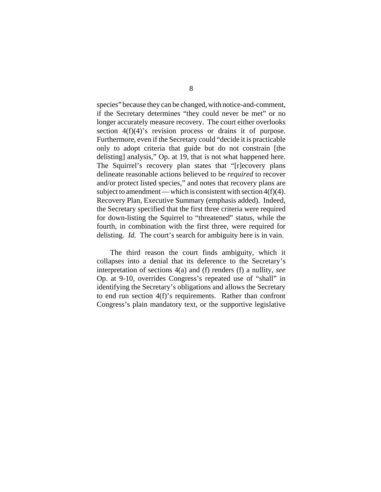species" because they can be changed, with notice-and-comment, if the Secretary determines "they could never be met" or no longer accurately measure recovery. The court either overlooks section 4(f)(4)'s revision process or drains it of purpose. Furthermore, even if the Secretary could "decide it is practicable only to adopt criteria that guide but do not constrain [the delisting] analysis," Op. at 19, that is not what happened here. The Squirrel's recovery plan states that "[r]ecovery plans delineate reasonable actions believed to be *required* to recover and/or protect listed species," and notes that recovery plans are subject to amendment — which is consistent with section  $4(f)(4)$ . Recovery Plan, Executive Summary (emphasis added). Indeed, the Secretary specified that the first three criteria were required for down-listing the Squirrel to "threatened" status, while the fourth, in combination with the first three, were required for delisting. *Id.* The court's search for ambiguity here is in vain.

The third reason the court finds ambiguity, which it collapses into a denial that its deference to the Secretary's interpretation of sections 4(a) and (f) renders (f) a nullity, *see* Op. at 9-10, overrides Congress's repeated use of "shall" in identifying the Secretary's obligations and allows the Secretary to end run section 4(f)'s requirements. Rather than confront Congress's plain mandatory text, or the supportive legislative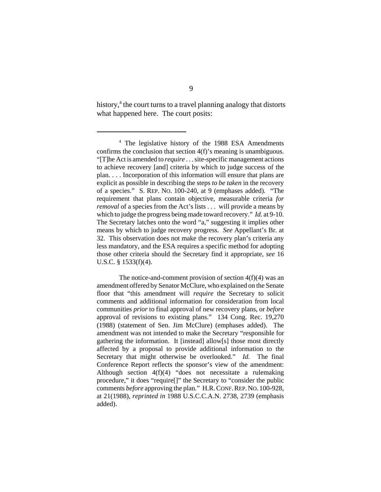history,<sup>4</sup> the court turns to a travel planning analogy that distorts what happened here. The court posits:

<sup>&</sup>lt;sup>4</sup> The legislative history of the 1988 ESA Amendments confirms the conclusion that section 4(f)'s meaning is unambiguous. "[T]he Act is amended to *require* . . . site-specific management actions to achieve recovery [and] criteria by which to judge success of the plan. . . . Incorporation of this information will ensure that plans are explicit as possible in describing the steps *to be taken* in the recovery of a species." S. REP. NO. 100-240, at 9 (emphases added). "The requirement that plans contain objective, measurable criteria *for removal* of a species from the Act's lists . . . will provide a means by which to judge the progress being made toward recovery." *Id.* at 9-10. The Secretary latches onto the word "a," suggesting it implies other means by which to judge recovery progress. *See* Appellant's Br. at 32. This observation does not make the recovery plan's criteria any less mandatory, and the ESA requires a specific method for adopting those other criteria should the Secretary find it appropriate, *see* 16 U.S.C. § 1533(f)(4).

The notice-and-comment provision of section  $4(f)(4)$  was an amendment offered by Senator McClure, who explained on the Senate floor that "this amendment will *require* the Secretary to solicit comments and additional information for consideration from local communities *prior* to final approval of new recovery plans, or *before* approval of revisions to existing plans." 134 Cong. Rec. 19,270 (1988) (statement of Sen. Jim McClure) (emphases added). The amendment was not intended to make the Secretary "responsible for gathering the information. It [instead] allow[s] those most directly affected by a proposal to provide additional information to the Secretary that might otherwise be overlooked." *Id.* The final Conference Report reflects the sponsor's view of the amendment: Although section 4(f)(4) "does not necessitate a rulemaking procedure," it does "require[]" the Secretary to "consider the public comments *before* approving the plan." H.R.CONF.REP.NO. 100-928, at 21(1988), *reprinted in* 1988 U.S.C.C.A.N. 2738, 2739 (emphasis added).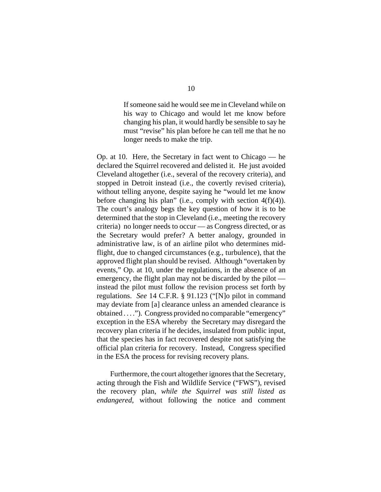If someone said he would see me in Cleveland while on his way to Chicago and would let me know before changing his plan, it would hardly be sensible to say he must "revise" his plan before he can tell me that he no longer needs to make the trip.

Op. at 10. Here, the Secretary in fact went to Chicago — he declared the Squirrel recovered and delisted it. He just avoided Cleveland altogether (i.e., several of the recovery criteria), and stopped in Detroit instead (i.e., the covertly revised criteria), without telling anyone, despite saying he "would let me know before changing his plan" (i.e., comply with section 4(f)(4)). The court's analogy begs the key question of how it is to be determined that the stop in Cleveland (i.e., meeting the recovery criteria) no longer needs to occur — as Congress directed, or as the Secretary would prefer? A better analogy, grounded in administrative law, is of an airline pilot who determines midflight, due to changed circumstances (e.g., turbulence), that the approved flight plan should be revised. Although "overtaken by events," Op. at 10, under the regulations, in the absence of an emergency, the flight plan may not be discarded by the pilot instead the pilot must follow the revision process set forth by regulations. *See* 14 C.F.R. § 91.123 ("[N]o pilot in command may deviate from [a] clearance unless an amended clearance is obtained . . . ."). Congress provided no comparable "emergency" exception in the ESA whereby the Secretary may disregard the recovery plan criteria if he decides, insulated from public input, that the species has in fact recovered despite not satisfying the official plan criteria for recovery. Instead, Congress specified in the ESA the process for revising recovery plans.

Furthermore, the court altogether ignores that the Secretary, acting through the Fish and Wildlife Service ("FWS"), revised the recovery plan, *while the Squirrel was still listed as endangered*, without following the notice and comment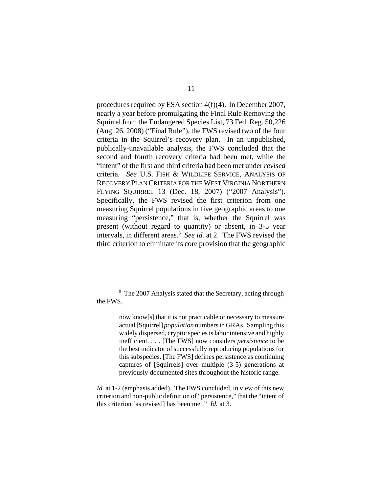procedures required by ESA section 4(f)(4). In December 2007, nearly a year before promulgating the Final Rule Removing the Squirrel from the Endangered Species List, 73 Fed. Reg. 50,226 (Aug. 26, 2008) ("Final Rule"), the FWS revised two of the four criteria in the Squirrel's recovery plan. In an unpublished, publically-unavailable analysis, the FWS concluded that the second and fourth recovery criteria had been met, while the "intent" of the first and third criteria had been met under *revised* criteria. *See* U.S. FISH & WILDLIFE SERVICE, ANALYSIS OF RECOVERY PLAN CRITERIA FOR THE WEST VIRGINIA NORTHERN FLYING SQUIRREL 13 (Dec. 18, 2007) ("2007 Analysis"). Specifically, the FWS revised the first criterion from one measuring Squirrel populations in five geographic areas to one measuring "persistence," that is, whether the Squirrel was present (without regard to quantity) or absent, in 3-5 year intervals, in different areas.<sup>5</sup> See id. at 2. The FWS revised the third criterion to eliminate its core provision that the geographic

*Id.* at 1-2 (emphasis added). The FWS concluded, in view of this new criterion and non-public definition of "persistence," that the "intent of this criterion [as revised] has been met." *Id.* at 3.

<sup>&</sup>lt;sup>5</sup> The 2007 Analysis stated that the Secretary, acting through the FWS,

now know[s] that it is not practicable or necessary to measure actual [Squirrel] *population* numbers in GRAs. Sampling this widely dispersed, cryptic species is labor intensive and highly inefficient. . . . [The FWS] now considers *persistence* to be the best indicator of successfully reproducing populations for this subspecies. [The FWS] defines persistence as continuing captures of [Squirrels] over multiple (3-5) generations at previously documented sites throughout the historic range.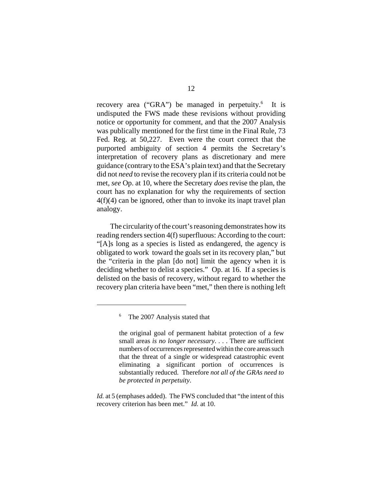recovery area ("GRA") be managed in perpetuity.<sup>6</sup> It is undisputed the FWS made these revisions without providing notice or opportunity for comment, and that the 2007 Analysis was publically mentioned for the first time in the Final Rule, 73 Fed. Reg. at 50,227. Even were the court correct that the purported ambiguity of section 4 permits the Secretary's interpretation of recovery plans as discretionary and mere guidance (contrary to the ESA's plain text) and that the Secretary did not *need* to revise the recovery plan if its criteria could not be met, *see* Op. at 10, where the Secretary *does* revise the plan, the court has no explanation for why the requirements of section 4(f)(4) can be ignored, other than to invoke its inapt travel plan analogy.

The circularity of the court's reasoning demonstrates how its reading renders section 4(f) superfluous: According to the court: "[A]s long as a species is listed as endangered, the agency is obligated to work toward the goals set in its recovery plan," but the "criteria in the plan [do not] limit the agency when it is deciding whether to delist a species." Op. at 16. If a species is delisted on the basis of recovery, without regard to whether the recovery plan criteria have been "met," then there is nothing left

<sup>6</sup> The 2007 Analysis stated that

the original goal of permanent habitat protection of a few small areas *is no longer necessary*. . . . There are sufficient numbers of occurrences represented within the core areas such that the threat of a single or widespread catastrophic event eliminating a significant portion of occurrences is substantially reduced. Therefore *not all of the GRAs need to be protected in perpetuity*.

*Id.* at 5 (emphases added). The FWS concluded that "the intent of this recovery criterion has been met." *Id.* at 10.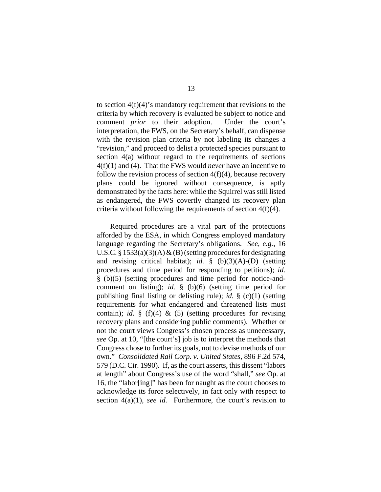to section  $4(f)(4)$ 's mandatory requirement that revisions to the criteria by which recovery is evaluated be subject to notice and comment *prior* to their adoption. Under the court's interpretation, the FWS, on the Secretary's behalf, can dispense with the revision plan criteria by not labeling its changes a "revision," and proceed to delist a protected species pursuant to section 4(a) without regard to the requirements of sections 4(f)(1) and (4). That the FWS would *never* have an incentive to follow the revision process of section  $4(f)(4)$ , because recovery plans could be ignored without consequence, is aptly demonstrated by the facts here: while the Squirrel was still listed as endangered, the FWS covertly changed its recovery plan criteria without following the requirements of section 4(f)(4).

Required procedures are a vital part of the protections afforded by the ESA, in which Congress employed mandatory language regarding the Secretary's obligations. *See, e.g.*, 16 U.S.C. § 1533(a)(3)(A)  $\&$  (B) (setting procedures for designating and revising critical habitat); *id.* § (b)(3)(A)-(D) (setting procedures and time period for responding to petitions); *id.* § (b)(5) (setting procedures and time period for notice-andcomment on listing); *id.* § (b)(6) (setting time period for publishing final listing or delisting rule); *id.* § (c)(1) (setting requirements for what endangered and threatened lists must contain); *id.*  $\S$  (f)(4)  $\&$  (5) (setting procedures for revising recovery plans and considering public comments). Whether or not the court views Congress's chosen process as unnecessary, *see* Op. at 10, "[the court's] job is to interpret the methods that Congress chose to further its goals, not to devise methods of our own." *Consolidated Rail Corp. v. United States*, 896 F.2d 574, 579 (D.C. Cir. 1990). If, as the court asserts, this dissent "labors at length" about Congress's use of the word "shall," *see* Op. at 16, the "labor[ing]" has been for naught as the court chooses to acknowledge its force selectively, in fact only with respect to section 4(a)(1), *see id.* Furthermore, the court's revision to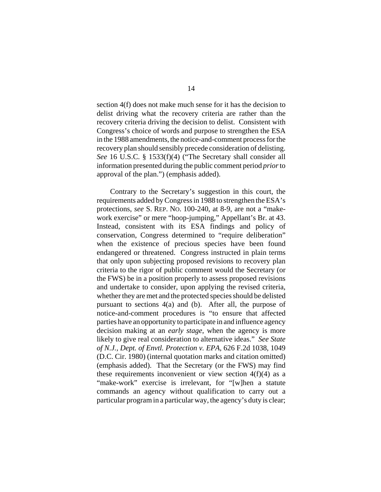section 4(f) does not make much sense for it has the decision to delist driving what the recovery criteria are rather than the recovery criteria driving the decision to delist. Consistent with Congress's choice of words and purpose to strengthen the ESA in the 1988 amendments, the notice-and-comment process for the recovery plan should sensibly precede consideration of delisting. *See* 16 U.S.C. § 1533(f)(4) ("The Secretary shall consider all information presented during the public comment period *prior* to approval of the plan.") (emphasis added).

Contrary to the Secretary's suggestion in this court, the requirements added by Congress in 1988 to strengthen the ESA's protections, *see* S. REP. NO. 100-240, at 8-9, are not a "makework exercise" or mere "hoop-jumping," Appellant's Br. at 43. Instead, consistent with its ESA findings and policy of conservation, Congress determined to "require deliberation" when the existence of precious species have been found endangered or threatened. Congress instructed in plain terms that only upon subjecting proposed revisions to recovery plan criteria to the rigor of public comment would the Secretary (or the FWS) be in a position properly to assess proposed revisions and undertake to consider, upon applying the revised criteria, whether they are met and the protected species should be delisted pursuant to sections 4(a) and (b). After all, the purpose of notice-and-comment procedures is "to ensure that affected parties have an opportunity to participate in and influence agency decision making at an *early stage*, when the agency is more likely to give real consideration to alternative ideas." *See State of N.J., Dept. of Envtl. Protection v. EPA,* 626 F.2d 1038, 1049 (D.C. Cir. 1980) (internal quotation marks and citation omitted) (emphasis added). That the Secretary (or the FWS) may find these requirements inconvenient or view section  $4(f)(4)$  as a "make-work" exercise is irrelevant, for "[w]hen a statute commands an agency without qualification to carry out a particular program in a particular way, the agency's duty is clear;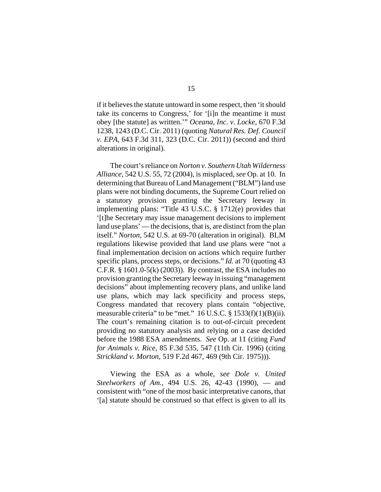if it believes the statute untoward in some respect, then 'it should take its concerns to Congress,' for '[i]n the meantime it must obey [the statute] as written.'" *Oceana, Inc. v. Locke*, 670 F.3d 1238, 1243 (D.C. Cir. 2011) (quoting *Natural Res. Def. Council v. EPA*, 643 F.3d 311, 323 (D.C. Cir. 2011)) (second and third alterations in original).

The court's reliance on *Norton v. Southern Utah Wilderness Alliance*, 542 U.S. 55, 72 (2004), is misplaced, *see* Op. at 10. In determining that Bureau of Land Management ("BLM") land use plans were not binding documents, the Supreme Court relied on a statutory provision granting the Secretary leeway in implementing plans: "Title 43 U.S.C. § 1712(e) provides that '[t]he Secretary may issue management decisions to implement land use plans' — the decisions, that is, are distinct from the plan itself." *Norton*, 542 U.S. at 69-70 (alteration in original). BLM regulations likewise provided that land use plans were "not a final implementation decision on actions which require further specific plans, process steps, or decisions." *Id.* at 70 (quoting 43 C.F.R.  $\S$  1601.0-5(k) (2003)). By contrast, the ESA includes no provision granting the Secretary leeway in issuing "management decisions" about implementing recovery plans, and unlike land use plans, which may lack specificity and process steps, Congress mandated that recovery plans contain "objective, measurable criteria" to be "met." 16 U.S.C. § 1533(f)(1)(B)(ii). The court's remaining citation is to out-of-circuit precedent providing no statutory analysis and relying on a case decided before the 1988 ESA amendments. *See* Op. at 11 (citing *Fund for Animals v. Rice*, 85 F.3d 535, 547 (11th Cir. 1996) (citing *Strickland v. Morton*, 519 F.2d 467, 469 (9th Cir. 1975))).

Viewing the ESA as a whole, *see Dole v. United Steelworkers of Am.*, 494 U.S. 26, 42-43 (1990), — and consistent with "one of the most basic interpretative canons, that '[a] statute should be construed so that effect is given to all its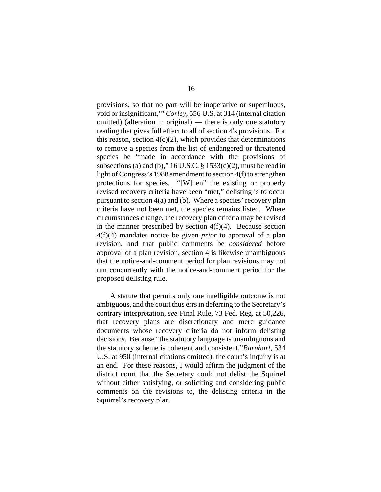provisions, so that no part will be inoperative or superfluous, void or insignificant,'" *Corley*, 556 U.S. at 314 (internal citation omitted) (alteration in original) — there is only one statutory reading that gives full effect to all of section 4's provisions. For this reason, section  $4(c)(2)$ , which provides that determinations to remove a species from the list of endangered or threatened species be "made in accordance with the provisions of subsections (a) and (b),"  $16$  U.S.C. §  $1533(c)(2)$ , must be read in light of Congress's 1988 amendment to section 4(f) to strengthen protections for species. "[W]hen" the existing or properly revised recovery criteria have been "met," delisting is to occur pursuant to section 4(a) and (b). Where a species' recovery plan criteria have not been met, the species remains listed. Where circumstances change, the recovery plan criteria may be revised in the manner prescribed by section  $4(f)(4)$ . Because section 4(f)(4) mandates notice be given *prior* to approval of a plan revision, and that public comments be *considered* before approval of a plan revision, section 4 is likewise unambiguous that the notice-and-comment period for plan revisions may not run concurrently with the notice-and-comment period for the proposed delisting rule.

A statute that permits only one intelligible outcome is not ambiguous, and the court thus errs in deferring to the Secretary's contrary interpretation, *see* Final Rule, 73 Fed. Reg. at 50,226, that recovery plans are discretionary and mere guidance documents whose recovery criteria do not inform delisting decisions. Because "the statutory language is unambiguous and the statutory scheme is coherent and consistent,"*Barnhart*, 534 U.S. at 950 (internal citations omitted), the court's inquiry is at an end. For these reasons, I would affirm the judgment of the district court that the Secretary could not delist the Squirrel without either satisfying, or soliciting and considering public comments on the revisions to, the delisting criteria in the Squirrel's recovery plan.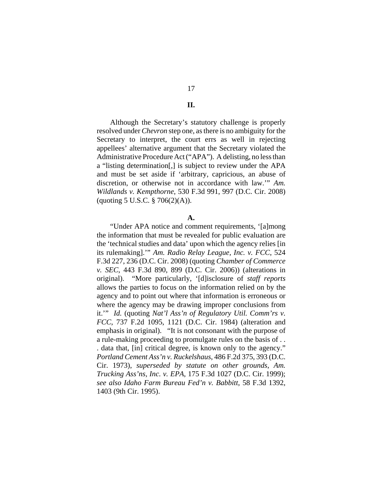# **II.**

Although the Secretary's statutory challenge is properly resolved under *Chevron* step one, as there is no ambiguity for the Secretary to interpret, the court errs as well in rejecting appellees' alternative argument that the Secretary violated the Administrative Procedure Act ("APA"). A delisting, no less than a "listing determination[,] is subject to review under the APA and must be set aside if 'arbitrary, capricious, an abuse of discretion, or otherwise not in accordance with law.'" *Am. Wildlands v. Kempthorne*, 530 F.3d 991, 997 (D.C. Cir. 2008)  $\text{(quoting } 5 \text{ U.S.C. } § 706(2)(\text{A})\text{).}$ 

#### **A.**

"Under APA notice and comment requirements, '[a]mong the information that must be revealed for public evaluation are the 'technical studies and data' upon which the agency relies [in its rulemaking].'" *Am. Radio Relay League, Inc. v. FCC*, 524 F.3d 227, 236 (D.C. Cir. 2008) (quoting *Chamber of Commerce v. SEC*, 443 F.3d 890, 899 (D.C. Cir. 2006)) (alterations in original). "More particularly, '[d]isclosure of *staff reports* allows the parties to focus on the information relied on by the agency and to point out where that information is erroneous or where the agency may be drawing improper conclusions from it.'" *Id.* (quoting *Nat'l Ass'n of Regulatory Util. Comm'rs v. FCC*, 737 F.2d 1095, 1121 (D.C. Cir. 1984) (alteration and emphasis in original). "It is not consonant with the purpose of a rule-making proceeding to promulgate rules on the basis of . . . data that, [in] critical degree, is known only to the agency." *Portland Cement Ass'n v. Ruckelshaus*, 486 F.2d 375, 393 (D.C. Cir. 1973), *superseded by statute on other grounds*, *Am. Trucking Ass'ns, Inc. v. EPA*, 175 F.3d 1027 (D.C. Cir. 1999); *see also Idaho Farm Bureau Fed'n v. Babbitt*, 58 F.3d 1392, 1403 (9th Cir. 1995).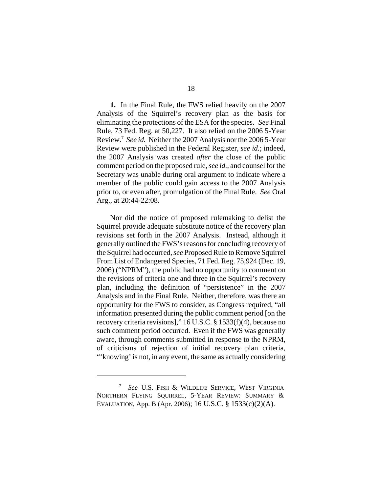**1.** In the Final Rule, the FWS relied heavily on the 2007 Analysis of the Squirrel's recovery plan as the basis for eliminating the protections of the ESA for the species. *See* Final Rule, 73 Fed. Reg. at 50,227. It also relied on the 2006 5-Year Review.<sup>7</sup> See id. Neither the 2007 Analysis nor the 2006 5-Year Review were published in the Federal Register, *see id.*; indeed, the 2007 Analysis was created *after* the close of the public comment period on the proposed rule, *see id.*, and counsel for the Secretary was unable during oral argument to indicate where a member of the public could gain access to the 2007 Analysis prior to, or even after, promulgation of the Final Rule. *See* Oral Arg., at 20:44-22:08.

Nor did the notice of proposed rulemaking to delist the Squirrel provide adequate substitute notice of the recovery plan revisions set forth in the 2007 Analysis. Instead, although it generally outlined the FWS's reasons for concluding recovery of the Squirrel had occurred, *see* Proposed Rule to Remove Squirrel From List of Endangered Species, 71 Fed. Reg. 75,924 (Dec. 19, 2006) ("NPRM"), the public had no opportunity to comment on the revisions of criteria one and three in the Squirrel's recovery plan, including the definition of "persistence" in the 2007 Analysis and in the Final Rule. Neither, therefore, was there an opportunity for the FWS to consider, as Congress required, "all information presented during the public comment period [on the recovery criteria revisions]," 16 U.S.C. § 1533(f)(4), because no such comment period occurred. Even if the FWS was generally aware, through comments submitted in response to the NPRM, of criticisms of rejection of initial recovery plan criteria, "'knowing' is not, in any event, the same as actually considering

<sup>7</sup> *See* U.S. FISH & WILDLIFE SERVICE, WEST VIRGINIA NORTHERN FLYING SQUIRREL, 5-YEAR REVIEW: SUMMARY & EVALUATION, App. B (Apr. 2006); 16 U.S.C. § 1533(c)(2)(A).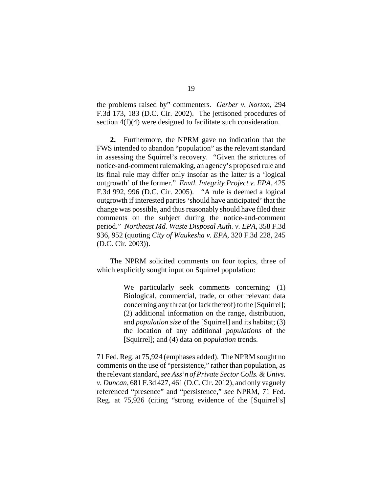the problems raised by" commenters. *Gerber v. Norton*, 294 F.3d 173, 183 (D.C. Cir. 2002). The jettisoned procedures of section 4(f)(4) were designed to facilitate such consideration.

**2.** Furthermore, the NPRM gave no indication that the FWS intended to abandon "population" as the relevant standard in assessing the Squirrel's recovery. "Given the strictures of notice-and-comment rulemaking, an agency's proposed rule and its final rule may differ only insofar as the latter is a 'logical outgrowth' of the former." *Envtl. Integrity Project v. EPA*, 425 F.3d 992, 996 (D.C. Cir. 2005). "A rule is deemed a logical outgrowth if interested parties 'should have anticipated' that the change was possible, and thus reasonably should have filed their comments on the subject during the notice-and-comment period." *Northeast Md. Waste Disposal Auth. v. EPA*, 358 F.3d 936, 952 (quoting *City of Waukesha v. EPA*, 320 F.3d 228, 245 (D.C. Cir. 2003)).

The NPRM solicited comments on four topics, three of which explicitly sought input on Squirrel population:

> We particularly seek comments concerning: (1) Biological, commercial, trade, or other relevant data concerning any threat (or lack thereof) to the [Squirrel]; (2) additional information on the range, distribution, and *population size* of the [Squirrel] and its habitat; (3) the location of any additional *populations* of the [Squirrel]; and (4) data on *population* trends.

71 Fed. Reg. at 75,924 (emphases added). The NPRM sought no comments on the use of "persistence," rather than population, as the relevant standard, *see Ass'n of Private Sector Colls. & Univs. v. Duncan*, 681 F.3d 427, 461 (D.C. Cir. 2012), and only vaguely referenced "presence" and "persistence," *see* NPRM, 71 Fed. Reg. at 75,926 (citing "strong evidence of the [Squirrel's]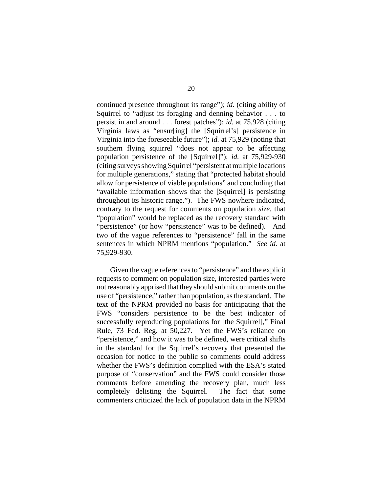continued presence throughout its range"); *id.* (citing ability of Squirrel to "adjust its foraging and denning behavior . . . to persist in and around . . . forest patches"); *id.* at 75,928 (citing Virginia laws as "ensur[ing] the [Squirrel's] persistence in Virginia into the foreseeable future"); *id.* at 75,929 (noting that southern flying squirrel "does not appear to be affecting population persistence of the [Squirrel]"); *id.* at 75,929-930 (citing surveys showing Squirrel "persistent at multiple locations for multiple generations," stating that "protected habitat should allow for persistence of viable populations" and concluding that "available information shows that the [Squirrel] is persisting throughout its historic range."). The FWS nowhere indicated, contrary to the request for comments on population *size*, that "population" would be replaced as the recovery standard with "persistence" (or how "persistence" was to be defined). And two of the vague references to "persistence" fall in the same sentences in which NPRM mentions "population." *See id.* at 75,929-930.

Given the vague references to "persistence" and the explicit requests to comment on population size, interested parties were not reasonably apprised that they should submit comments on the use of "persistence," rather than population, as the standard. The text of the NPRM provided no basis for anticipating that the FWS "considers persistence to be the best indicator of successfully reproducing populations for [the Squirrel]," Final Rule, 73 Fed. Reg. at 50,227. Yet the FWS's reliance on "persistence," and how it was to be defined, were critical shifts in the standard for the Squirrel's recovery that presented the occasion for notice to the public so comments could address whether the FWS's definition complied with the ESA's stated purpose of "conservation" and the FWS could consider those comments before amending the recovery plan, much less completely delisting the Squirrel. The fact that some commenters criticized the lack of population data in the NPRM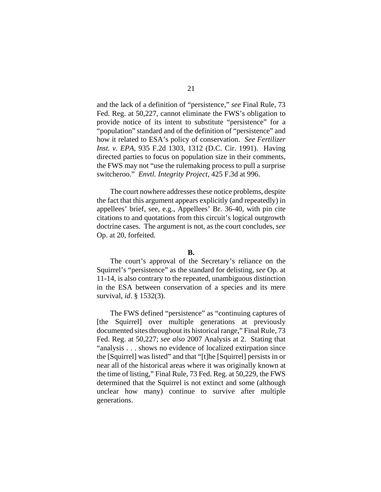and the lack of a definition of "persistence," *see* Final Rule, 73 Fed. Reg. at 50,227, cannot eliminate the FWS's obligation to provide notice of its intent to substitute "persistence" for a "population" standard and of the definition of "persistence" and how it related to ESA's policy of conservation. *See Fertilizer Inst. v. EPA*, 935 F.2d 1303, 1312 (D.C. Cir. 1991). Having directed parties to focus on population size in their comments, the FWS may not "use the rulemaking process to pull a surprise switcheroo." *Envtl. Integrity Project*, 425 F.3d at 996.

The court nowhere addresses these notice problems, despite the fact that this argument appears explicitly (and repeatedly) in appellees' brief, see, e.g., Appellees' Br. 36-40, with pin cite citations to and quotations from this circuit's logical outgrowth doctrine cases. The argument is not, as the court concludes, *see* Op. at 20, forfeited.

## **B.**

The court's approval of the Secretary's reliance on the Squirrel's "persistence" as the standard for delisting, *see* Op. at 11-14, is also contrary to the repeated, unambiguous distinction in the ESA between conservation of a species and its mere survival, *id*. § 1532(3).

The FWS defined "persistence" as "continuing captures of [the Squirrel] over multiple generations at previously documented sites throughout its historical range," Final Rule, 73 Fed. Reg. at 50,227; *see also* 2007 Analysis at 2. Stating that "analysis . . . shows no evidence of localized extirpation since the [Squirrel] was listed" and that "[t]he [Squirrel] persists in or near all of the historical areas where it was originally known at the time of listing," Final Rule, 73 Fed. Reg. at 50,229, the FWS determined that the Squirrel is not extinct and some (although unclear how many) continue to survive after multiple generations.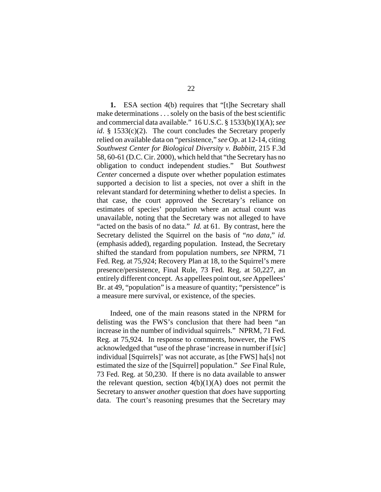**1.** ESA section 4(b) requires that "[t]he Secretary shall make determinations . . . solely on the basis of the best scientific and commercial data available." 16 U.S.C. § 1533(b)(1)(A); *see id*. § 1533(c)(2). The court concludes the Secretary properly relied on available data on "persistence," *see* Op. at 12-14, citing *Southwest Center for Biological Diversity v. Babbitt*, 215 F.3d 58, 60-61 (D.C. Cir. 2000), which held that "the Secretary has no obligation to conduct independent studies." But *Southwest Center* concerned a dispute over whether population estimates supported a decision to list a species, not over a shift in the relevant standard for determining whether to delist a species. In that case, the court approved the Secretary's reliance on estimates of species' population where an actual count was unavailable, noting that the Secretary was not alleged to have "acted on the basis of no data." *Id.* at 61. By contrast, here the Secretary delisted the Squirrel on the basis of "*no data*," *id.* (emphasis added), regarding population. Instead, the Secretary shifted the standard from population numbers, *see* NPRM, 71 Fed. Reg. at 75,924; Recovery Plan at 18, to the Squirrel's mere presence/persistence, Final Rule, 73 Fed. Reg. at 50,227, an entirely different concept. As appellees point out, *see* Appellees' Br. at 49, "population" is a measure of quantity; "persistence" is a measure mere survival, or existence, of the species.

Indeed, one of the main reasons stated in the NPRM for delisting was the FWS's conclusion that there had been "an increase in the number of individual squirrels." NPRM, 71 Fed. Reg. at 75,924. In response to comments, however, the FWS acknowledged that "use of the phrase 'increase in number if [*sic*] individual [Squirrels]' was not accurate, as [the FWS] ha[s] not estimated the size of the [Squirrel] population." *See* Final Rule, 73 Fed. Reg. at 50,230. If there is no data available to answer the relevant question, section  $4(b)(1)(A)$  does not permit the Secretary to answer *another* question that *does* have supporting data. The court's reasoning presumes that the Secretary may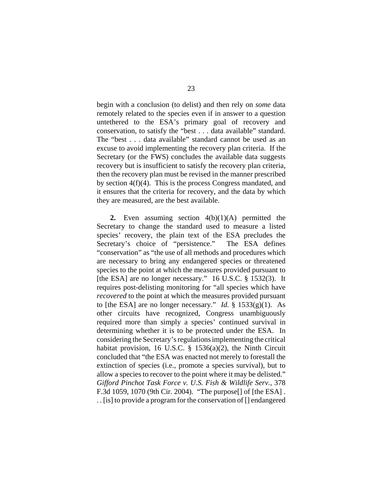begin with a conclusion (to delist) and then rely on *some* data remotely related to the species even if in answer to a question untethered to the ESA's primary goal of recovery and conservation, to satisfy the "best . . . data available" standard. The "best . . . data available" standard cannot be used as an excuse to avoid implementing the recovery plan criteria. If the Secretary (or the FWS) concludes the available data suggests recovery but is insufficient to satisfy the recovery plan criteria, then the recovery plan must be revised in the manner prescribed by section 4(f)(4). This is the process Congress mandated, and it ensures that the criteria for recovery, and the data by which they are measured, are the best available.

**2.** Even assuming section 4(b)(1)(A) permitted the Secretary to change the standard used to measure a listed species' recovery, the plain text of the ESA precludes the Secretary's choice of "persistence." The ESA defines "conservation" as "the use of all methods and procedures which are necessary to bring any endangered species or threatened species to the point at which the measures provided pursuant to [the ESA] are no longer necessary." 16 U.S.C. § 1532(3). It requires post-delisting monitoring for "all species which have *recovered* to the point at which the measures provided pursuant to [the ESA] are no longer necessary." *Id.* § 1533(g)(1). As other circuits have recognized, Congress unambiguously required more than simply a species' continued survival in determining whether it is to be protected under the ESA. In considering the Secretary's regulations implementing the critical habitat provision, 16 U.S.C. § 1536(a)(2), the Ninth Circuit concluded that "the ESA was enacted not merely to forestall the extinction of species (i.e., promote a species survival), but to allow a species to recover to the point where it may be delisted." *Gifford Pinchot Task Force v. U.S. Fish & Wildlife Serv.*, 378 F.3d 1059, 1070 (9th Cir. 2004). "The purpose[] of [the ESA] . . . [is] to provide a program for the conservation of [] endangered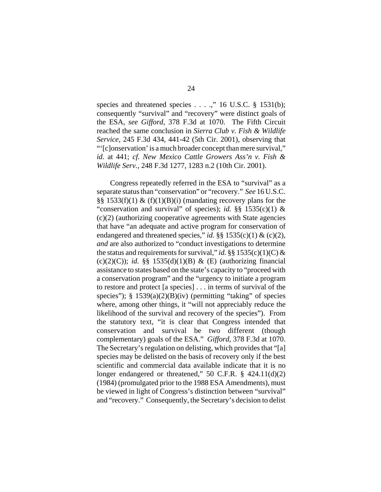species and threatened species . . . .," 16 U.S.C. § 1531(b); consequently "survival" and "recovery" were distinct goals of the ESA, *see Gifford*, 378 F.3d at 1070. The Fifth Circuit reached the same conclusion in *Sierra Club v. Fish & Wildlife Service*, 245 F.3d 434, 441-42 (5th Cir. 2001), observing that "'[c]onservation' is a much broader concept than mere survival," *id.* at 441; *cf. New Mexico Cattle Growers Ass'n v. Fish & Wildlife Serv.*, 248 F.3d 1277, 1283 n.2 (10th Cir. 2001).

Congress repeatedly referred in the ESA to "survival" as a separate status than "conservation" or "recovery." *See* 16 U.S.C. §§ 1533(f)(1)  $\&$  (f)(1)(B)(i) (mandating recovery plans for the "conservation and survival" of species); *id.* §§ 1535(c)(1) & (c)(2) (authorizing cooperative agreements with State agencies that have "an adequate and active program for conservation of endangered and threatened species," *id.* §§ 1535(c)(1) & (c)(2), *and* are also authorized to "conduct investigations to determine the status and requirements for survival," *id.* §§ 1535(c)(1)(C) &  $(c)(2)(C)$ ; *id.* §§ 1535(d)(1)(B) & (E) (authorizing financial assistance to states based on the state's capacity to "proceed with a conservation program" and the "urgency to initiate a program to restore and protect [a species] . . . in terms of survival of the species");  $\S$  1539(a)(2)(B)(iv) (permitting "taking" of species where, among other things, it "will not appreciably reduce the likelihood of the survival and recovery of the species"). From the statutory text, "it is clear that Congress intended that conservation and survival be two different (though complementary) goals of the ESA." *Gifford*, 378 F.3d at 1070. The Secretary's regulation on delisting, which provides that "[a] species may be delisted on the basis of recovery only if the best scientific and commercial data available indicate that it is no longer endangered or threatened," 50 C.F.R. § 424.11(d)(2) (1984) (promulgated prior to the 1988 ESA Amendments), must be viewed in light of Congress's distinction between "survival" and "recovery." Consequently, the Secretary's decision to delist